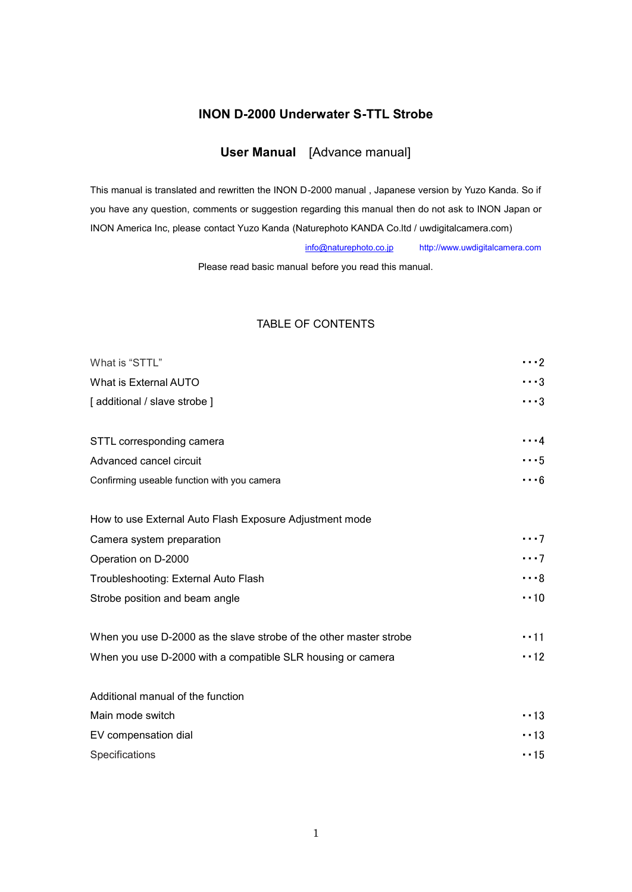# **INON D-2000 Underwater S-TTL Strobe**

# **User Manual** [Advance manual]

This manual is translated and rewritten the INON D-2000 manual , Japanese version by Yuzo Kanda. So if you have any question, comments or suggestion regarding this manual then do not ask to INON Japan or INON America Inc, please contact Yuzo Kanda (Naturephoto KANDA Co.ltd / uwdigitalcamera.com)

info@naturephoto.co.jp http://www.uwdigitalcamera.com

Please read basic manual before you read this manual.

# TABLE OF CONTENTS

| What is "STTL"                                                     | $\cdots$ 2   |
|--------------------------------------------------------------------|--------------|
| What is External AUTO                                              | $\cdots$ 3   |
| [ additional / slave strobe ]                                      | $\cdots$ 3   |
|                                                                    |              |
| STTL corresponding camera                                          | $\cdots$ 4   |
| Advanced cancel circuit                                            | $\cdots 5$   |
| Confirming useable function with you camera                        | $\cdots$ 6   |
| How to use External Auto Flash Exposure Adjustment mode            |              |
| Camera system preparation                                          | $\cdots$ 7   |
| Operation on D-2000                                                | $\cdots$ 7   |
| Troubleshooting: External Auto Flash                               | $\cdots$ 8   |
| Strobe position and beam angle                                     | $\cdot$ 10   |
| When you use D-2000 as the slave strobe of the other master strobe | $\cdot$ - 11 |
| When you use D-2000 with a compatible SLR housing or camera        | $\cdot$ - 12 |
| Additional manual of the function                                  |              |
| Main mode switch                                                   | $\cdot$ 13   |
| EV compensation dial                                               | $\cdot$ - 13 |
| Specifications                                                     | $\cdot$ - 15 |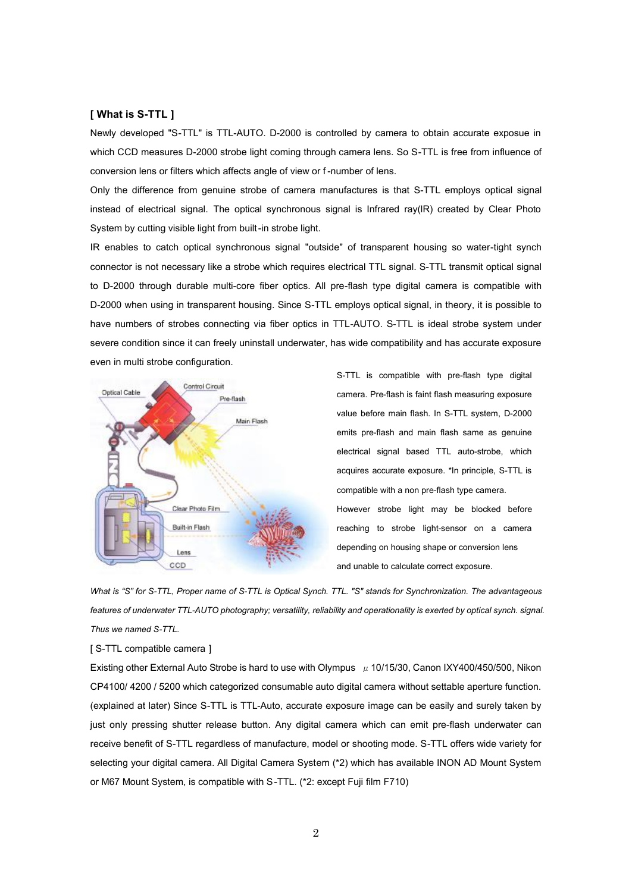## **[ What is S-TTL ]**

Newly developed "S-TTL" is TTL-AUTO. D-2000 is controlled by camera to obtain accurate exposue in which CCD measures D-2000 strobe light coming through camera lens. So S-TTL is free from influence of conversion lens or filters which affects angle of view or f -number of lens.

Only the difference from genuine strobe of camera manufactures is that S-TTL employs optical signal instead of electrical signal. The optical synchronous signal is Infrared ray(lR) created by Clear Photo System by cutting visible light from built-in strobe light.

IR enables to catch optical synchronous signal "outside" of transparent housing so water-tight synch connector is not necessary like a strobe which requires electrical TTL signal. S-TTL transmit optical signal to D-2000 through durable multi-core fiber optics. All pre-flash type digital camera is compatible with D-2000 when using in transparent housing. Since S-TTL employs optical signal, in theory, it is possible to have numbers of strobes connecting via fiber optics in TTL-AUTO. S-TTL is ideal strobe system under severe condition since it can freely uninstall underwater, has wide compatibility and has accurate exposure even in multi strobe configuration.



S-TTL is compatible with pre-flash type digital camera. Pre-flash is faint flash measuring exposure value before main flash. In S-TTL system, D-2000 emits pre-flash and main flash same as genuine electrical signal based TTL auto-strobe, which acquires accurate exposure. \*In principle, S-TTL is compatible with a non pre-flash type camera. However strobe light may be blocked before reaching to strobe light-sensor on a camera depending on housing shape or conversion lens and unable to calculate correct exposure.

What is "S" for S-TTL, Proper name of S-TTL is Optical Synch. TTL. "S" stands for Synchronization. The advantageous *features of underwater TTL-AUTO photography; versatility, reliability and operationality is exerted by optical synch. signal. Thus we named S-TTL.*

#### [ S-TTL compatible camera ]

Existing other External Auto Strobe is hard to use with Olympus  $\mu$  10/15/30, Canon IXY400/450/500, Nikon CP4100/ 4200 / 5200 which categorized consumable auto digital camera without settable aperture function. (explained at later) Since S-TTL is TTL-Auto, accurate exposure image can be easily and surely taken by just only pressing shutter release button. Any digital camera which can emit pre-flash underwater can receive benefit of S-TTL regardless of manufacture, model or shooting mode. S-TTL offers wide variety for selecting your digital camera. All Digital Camera System (\*2) which has available INON AD Mount System or M67 Mount System, is compatible with S-TTL. (\*2: except Fuji film F710)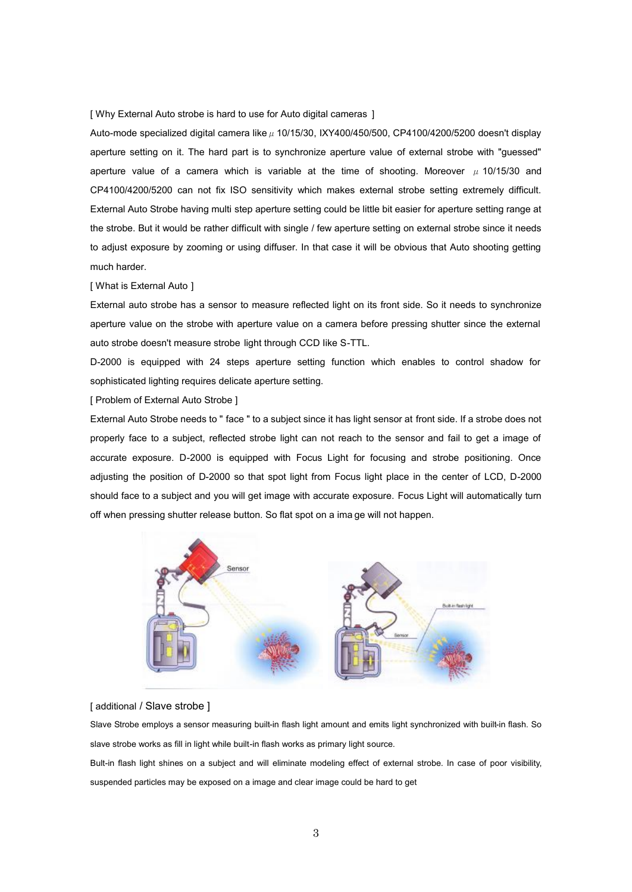[ Why External Auto strobe is hard to use for Auto digital cameras ]

Auto-mode specialized digital camera like  $\mu$  10/15/30, IXY400/450/500, CP4100/4200/5200 doesn't display aperture setting on it. The hard part is to synchronize aperture value of external strobe with "guessed" aperture value of a camera which is variable at the time of shooting. Moreover  $\mu$  10/15/30 and CP4100/4200/5200 can not fix ISO sensitivity which makes external strobe setting extremely difficult. External Auto Strobe having multi step aperture setting could be little bit easier for aperture setting range at the strobe. But it would be rather difficult with single / few aperture setting on external strobe since it needs to adjust exposure by zooming or using diffuser. In that case it will be obvious that Auto shooting getting much harder.

#### [ What is External Auto ]

External auto strobe has a sensor to measure reflected light on its front side. So it needs to synchronize aperture value on the strobe with aperture value on a camera before pressing shutter since the external auto strobe doesn't measure strobe light through CCD Iike S-TTL.

D-2000 is equipped with 24 steps aperture setting function which enables to control shadow for sophisticated lighting requires delicate aperture setting.

[ Problem of External Auto Strobe ]

External Auto Strobe needs to " face " to a subject since it has light sensor at front side. If a strobe does not properly face to a subject, reflected strobe light can not reach to the sensor and fail to get a image of accurate exposure. D-2000 is equipped with Focus Light for focusing and strobe positioning. Once adjusting the position of D-2000 so that spot light from Focus light place in the center of LCD, D-2000 should face to a subject and you will get image with accurate exposure. Focus Light will automatically turn off when pressing shutter release button. So flat spot on a ima ge will not happen.



## [ additional / Slave strobe ]

Slave Strobe employs a sensor measuring built-in flash light amount and emits light synchronized with built-in flash. So slave strobe works as fill in light while built-in flash works as primary light source.

Bult-in flash light shines on a subject and will eliminate modeling effect of external strobe. In case of poor visibility, suspended particles may be exposed on a image and clear image could be hard to get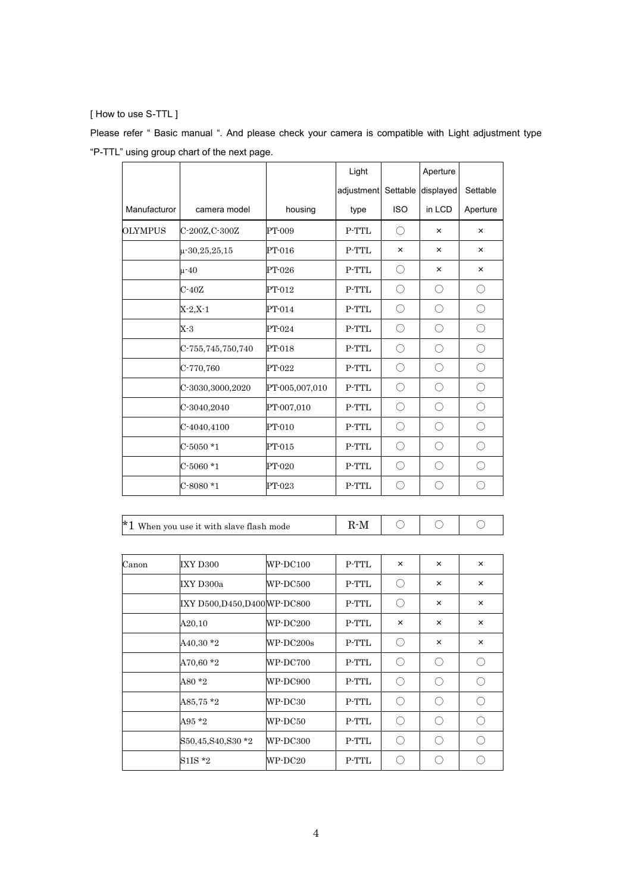## [ How to use S-TTL ]

Please refer " Basic manual ". And please check your camera is compatible with Light adjustment type "P-TTL" using group chart of the next page.

|                |                                            |                 | Light               |                | Aperture       |            |
|----------------|--------------------------------------------|-----------------|---------------------|----------------|----------------|------------|
|                |                                            |                 | adjustment Settable |                | displayed      | Settable   |
| Manufacturor   | camera model                               | housing         | type                | <b>ISO</b>     | in LCD         | Aperture   |
| <b>OLYMPUS</b> | C-200Z, C-300Z                             | PT-009          | $P-TTL$             | ◯              | $\pmb{\times}$ | ×          |
|                | $\mu$ -30,25,25,15                         | PT-016          | P-TTL               | $\pmb{\times}$ | ×              | ×          |
|                | $\mu - 40$                                 | PT-026          | P-TTL               | O              | $\times$       | $\times$   |
|                | $C-40Z$                                    | PT-012          | P-TTL               | O              | $\bigcirc$     | $\bigcirc$ |
|                | $X-2, X-1$                                 | PT-014          | P-TTL               | $\bigcirc$     | $\bigcirc$     | $\bigcirc$ |
|                | $X-3$                                      | PT-024          | $P-TTL$             | $\bigcirc$     | $\bigcirc$     | $\bigcirc$ |
|                | C-755,745,750,740                          | PT-018          | $P-TTL$             | $\bigcirc$     | $\bigcirc$     | $\bigcirc$ |
|                | C-770,760                                  | PT-022          | $P-TTL$             | O              | O              | $\bigcirc$ |
|                | C-3030,3000,2020                           | PT-005,007,010  | P-TTL               | О              | $\bigcirc$     | $\bigcirc$ |
|                | C-3040,2040                                | PT-007,010      | $P-TTL$             | O              | $\bigcirc$     | $\bigcirc$ |
|                | C-4040,4100                                | PT-010          | $P-TTL$             | O              | $\bigcirc$     | $\bigcirc$ |
|                | $C-5050*1$                                 | $PT-015$        | $P-TTL$             | $\bigcirc$     | $\bigcirc$     | $\bigcirc$ |
|                | $C-5060*1$                                 | PT-020          | P-TTL               | O              | $\bigcirc$     | $\bigcirc$ |
|                | $C-8080*1$                                 | PT-023          | $P-TTL$             | O              | $\bigcirc$     | $\bigcirc$ |
|                |                                            |                 |                     |                |                |            |
|                | $*1$ When you use it with slave flash mode |                 | $R-M$               | $\bigcirc$     | $\bigcirc$     | $\bigcirc$ |
|                |                                            |                 |                     |                |                |            |
| Canon          | IXY D300                                   | WP-DC100        | $P-TTL$             | $\times$       | $\times$       | ×          |
|                | IXY D300a                                  | WP-DC500        | P-TTL               | $\bigcirc$     | $\times$       | $\times$   |
|                | IXY D500, D450, D400 WP-DC800              |                 | $P-TTL$             | $\bigcirc$     | ×              | ×          |
|                | A20,10                                     | WP-DC200        | $\mbox{P-TTL}$      | $\times$       | $\times$       | ×          |
|                | $A40,30*2$                                 | WP-DC200s       | P-TTL               | O              | $\times$       | ×          |
|                | A70,60 *2                                  | WP-DC700        | P-TTL               | O              | O              | О          |
|                | A80 $*2$                                   | <b>WP-DC900</b> | $P-TTL$             | $\bigcirc$     | $\bigcirc$     | $\bigcirc$ |

 $\begin{array}{ccc} \text{A}85,75 \ 2 \end{array}$  WP-DC30 P-TTL  $\begin{array}{ccc} \circ & \circ & \circ \end{array}$  $\mathsf{A}95 \cdot 2$  WP-DC50 P-TTL  $\bigcirc$   $\bigcirc$   $\bigcirc$ S50,45,S40,S30 \*2 WP-DC300 P-TTL  $\bigcirc$   $\bigcirc$   $\bigcirc$ S1IS \*2 WP-DC20 P-TTL  $\bigcirc$   $\bigcirc$   $\bigcirc$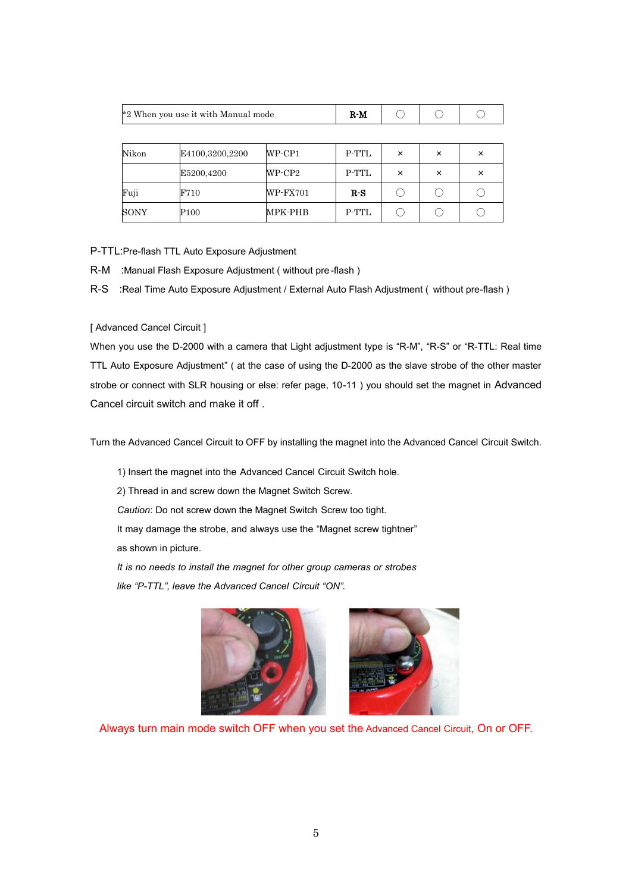|       | *2 When you use it with Manual mode | $R-M$        |       |   |   |   |
|-------|-------------------------------------|--------------|-------|---|---|---|
|       |                                     |              |       |   |   |   |
| Nikon | E4100,3200,2200                     | $WP$ - $CP1$ | P-TTL | × | × | × |
|       | E5200,4200                          | WP-CP2       | P-TTL | × | × | × |
| Fuji  | F710                                | WP-FX701     | $R-S$ |   |   |   |

P-TTL:Pre-flash TTL Auto Exposure Adjustment

R-M :Manual Flash Exposure Adjustment ( without pre -flash )

R-S :Real Time Auto Exposure Adjustment / External Auto Flash Adjustment ( without pre-flash )

 $\text{SONY}$  P100 MPK-PHB P-TTL  $\bigcirc$   $\bigcirc$   $\bigcirc$ 

[ Advanced Cancel Circuit ]

When you use the D-2000 with a camera that Light adjustment type is "R-M", "R-S" or "R-TTL: Real time TTL Auto Exposure Adjustment" ( at the case of using the D-2000 as the slave strobe of the other master strobe or connect with SLR housing or else: refer page, 10-11 ) you should set the magnet in Advanced Cancel circuit switch and make it off .

Turn the Advanced Cancel Circuit to OFF by installing the magnet into the Advanced Cancel Circuit Switch.

1) Insert the magnet into the Advanced Cancel Circuit Switch hole.

2) Thread in and screw down the Magnet Switch Screw.

*Caution*: Do not screw down the Magnet Switch Screw too tight.

It may damage the strobe, and always use the "Magnet screw tightner"

as shown in picture.

*It is no needs to install the magnet for other group cameras or strobes like "P-TTL", leave the Advanced Cancel Circuit "ON".*





Always turn main mode switch OFF when you set the Advanced Cancel Circuit, On or OFF.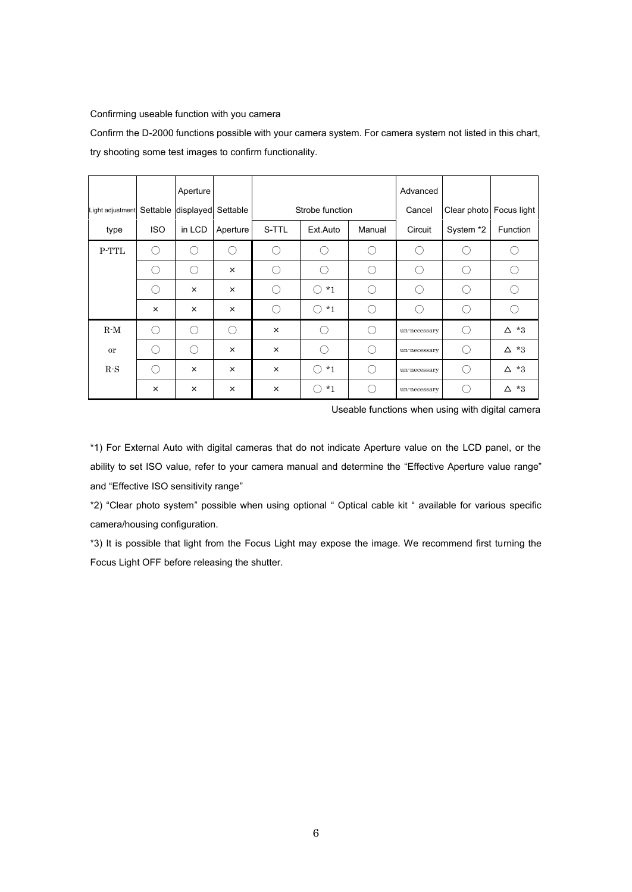### Confirming useable function with you camera

Confirm the D-2000 functions possible with your camera system. For camera system not listed in this chart, try shooting some test images to confirm functionality.

|                  |            | Aperture                    |          |                |                                                                                                        |        | Advanced                                            |                                                              |             |
|------------------|------------|-----------------------------|----------|----------------|--------------------------------------------------------------------------------------------------------|--------|-----------------------------------------------------|--------------------------------------------------------------|-------------|
| Light adjustment |            | Settable displayed Settable |          |                | Strobe function                                                                                        |        | Cancel                                              | Clear photo   Focus light                                    |             |
| type             | <b>ISO</b> | in LCD                      | Aperture | S-TTL          | Ext.Auto                                                                                               | Manual | Circuit                                             | System *2                                                    | Function    |
| P-TTL            | О.         | ∩                           | €        | Ο.             |                                                                                                        | ⊖      | €                                                   | $\left( \begin{array}{c} \cdot \\ \cdot \end{array} \right)$ |             |
|                  | ∩          | ∩                           | ×        | (              | ()                                                                                                     | $(\ )$ | $(\ )$                                              | $\left( \begin{array}{c} \end{array} \right)$                | (           |
|                  | О.         | $\times$                    | $\times$ | (              | $*_{1}$<br>()                                                                                          | ⊖      | $\left( \begin{array}{c} \cdot \end{array} \right)$ | O                                                            | $\bigcap$   |
|                  | $\times$   | ×                           | $\times$ | ( )            | $*_{1}$<br>$\left(\begin{smallmatrix}1\\1\end{smallmatrix}\right)$                                     | ()     | $\bigcirc$                                          | ⊖                                                            | €           |
| $R-M$            | $\bigcirc$ | ∩                           | ∩        | $\pmb{\times}$ | ()                                                                                                     | ()     | un-necessary                                        | $\left(\begin{array}{c} \end{array}\right)$                  | $\Delta$ *3 |
| or               | ( `        | ⌒                           | ×        | $\times$       | ()                                                                                                     | $(\ )$ | un-necessary                                        | $\bigcirc$                                                   | $\Delta$ *3 |
| $R-S$            | $\bigcirc$ | ×                           | ×        | $\times$       | $*_{1}$<br>$\left(\begin{smallmatrix} \cdot & \cdot \\ \cdot & \cdot & \cdot \end{smallmatrix}\right)$ | ◯      | un-necessary                                        | ∩                                                            | $\Delta$ *3 |
|                  | ×          | $\times$                    | $\times$ | $\times$       | $*_{1}$<br>Ω                                                                                           |        | un-necessary                                        | ⊖                                                            | $*3$<br>Δ   |

Useable functions when using with digital camera

\*1) For External Auto with digital cameras that do not indicate Aperture value on the LCD panel, or the ability to set ISO value, refer to your camera manual and determine the "Effective Aperture value range" and "Effective ISO sensitivity range"

\*2) "Clear photo system" possible when using optional " Optical cable kit " available for various specific camera/housing configuration.

\*3) It is possible that light from the Focus Light may expose the image. We recommend first turning the Focus Light OFF before releasing the shutter.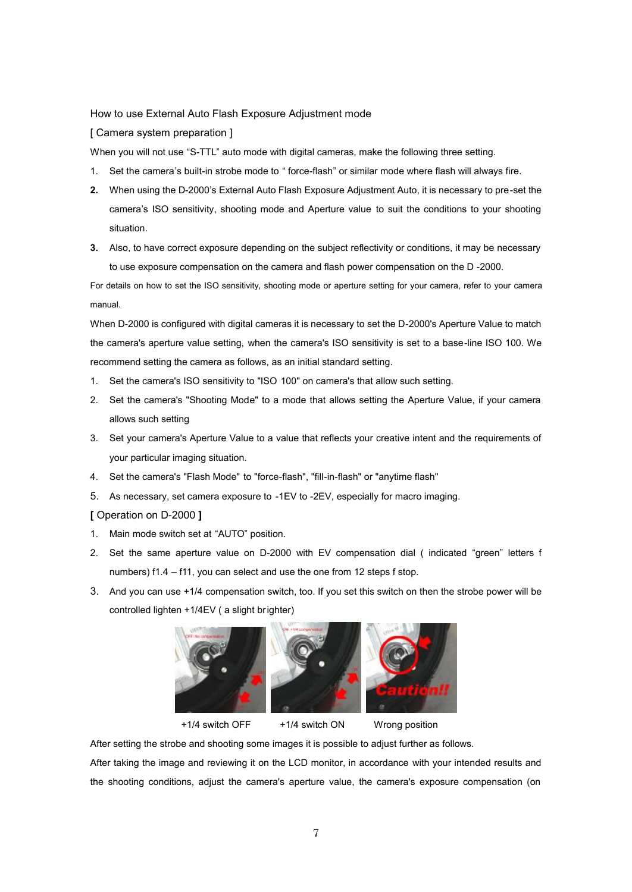How to use External Auto Flash Exposure Adjustment mode

[ Camera system preparation ]

When you will not use "S-TTL" auto mode with digital cameras, make the following three setting.

- 1. Set the camera's built-in strobe mode to " force-flash" or similar mode where flash will always fire.
- **2.** When using the D-2000's External Auto Flash Exposure Adjustment Auto, it is necessary to pre-set the camera's ISO sensitivity, shooting mode and Aperture value to suit the conditions to your shooting situation.
- **3.** Also, to have correct exposure depending on the subject reflectivity or conditions, it may be necessary to use exposure compensation on the camera and flash power compensation on the D -2000.

For details on how to set the ISO sensitivity, shooting mode or aperture setting for your camera, refer to your camera manual.

When D-2000 is configured with digital cameras it is necessary to set the D-2000's Aperture Value to match the camera's aperture value setting, when the camera's ISO sensitivity is set to a base-line ISO 100. We recommend setting the camera as follows, as an initial standard setting.

- 1. Set the camera's ISO sensitivity to "ISO 100" on camera's that allow such setting.
- 2. Set the camera's "Shooting Mode" to a mode that allows setting the Aperture Value, if your camera allows such setting
- 3. Set your camera's Aperture Value to a value that reflects your creative intent and the requirements of your particular imaging situation.
- 4. Set the camera's "Flash Mode" to "force-flash", "fill-in-flash" or "anytime flash"
- 5. As necessary, set camera exposure to -1EV to -2EV, especially for macro imaging.

**[** Operation on D-2000 **]**

- 1. Main mode switch set at "AUTO" position.
- 2. Set the same aperture value on D-2000 with EV compensation dial ( indicated "green" letters f numbers) f1.4 – f11, you can select and use the one from 12 steps f stop.
- 3. And you can use +1/4 compensation switch, too. If you set this switch on then the strobe power will be controlled lighten +1/4EV ( a slight brighter)







+1/4 switch OFF +1/4 switch ON Wrong position

After setting the strobe and shooting some images it is possible to adjust further as follows.

After taking the image and reviewing it on the LCD monitor, in accordance with your intended results and the shooting conditions, adjust the camera's aperture value, the camera's exposure compensation (on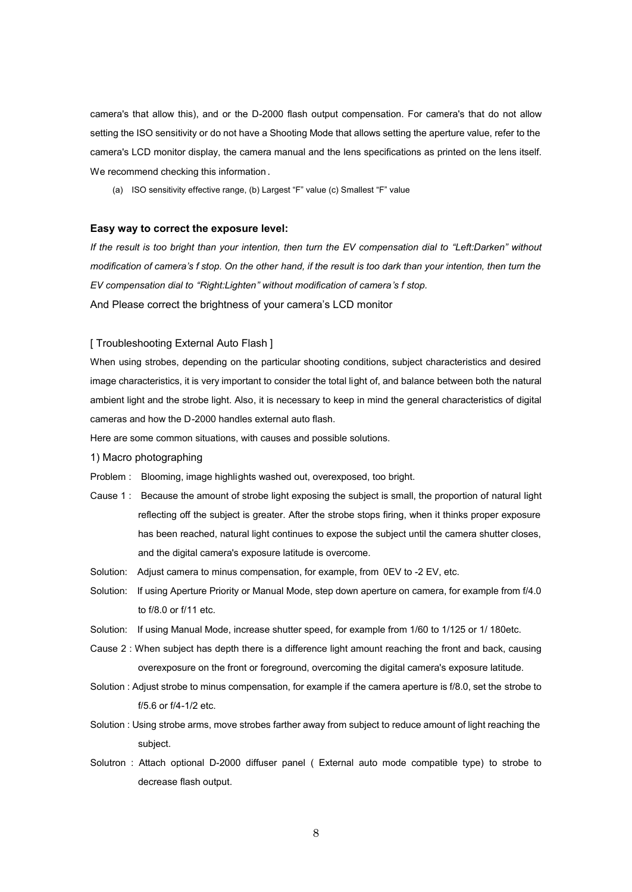camera's that allow this), and or the D-2000 flash output compensation. For camera's that do not allow setting the ISO sensitivity or do not have a Shooting Mode that allows setting the aperture value, refer to the camera's LCD monitor display, the camera manual and the lens specifications as printed on the lens itself. We recommend checking this information .

(a) ISO sensitivity effective range, (b) Largest "F" value (c) Smallest "F" value

#### **Easy way to correct the exposure level:**

If the result is too bright than your intention, then turn the EV compensation dial to "Left:Darken" without *modification of camera's f stop. On the other hand, if the result is too dark than your intention, then turn the EV compensation dial to "Right:Lighten" without modification of camera's f stop.* And Please correct the brightness of your camera's LCD monitor

## [ Troubleshooting External Auto Flash ]

When using strobes, depending on the particular shooting conditions, subject characteristics and desired image characteristics, it is very important to consider the total light of, and balance between both the natural ambient light and the strobe light. Also, it is necessary to keep in mind the general characteristics of digital cameras and how the D-2000 handles external auto flash.

Here are some common situations, with causes and possible solutions.

- 1) Macro photographing
- Problem : Blooming, image highlights washed out, overexposed, too bright.
- Cause 1 : Because the amount of strobe light exposing the subject is small, the proportion of natural Iight reflecting off the subject is greater. After the strobe stops firing, when it thinks proper exposure has been reached, natural light continues to expose the subject until the camera shutter closes, and the digital camera's exposure latitude is overcome.
- Solution: Adjust camera to minus compensation, for example, from 0EV to -2 EV, etc.
- Solution: If using Aperture Priority or Manual Mode, step down aperture on camera, for example from f/4.0 to f/8.0 or f/11 etc.
- Solution: If using Manual Mode, increase shutter speed, for example from 1/60 to 1/125 or 1/ 180etc.
- Cause 2 : When subject has depth there is a difference light amount reaching the front and back, causing overexposure on the front or foreground, overcoming the digital camera's exposure latitude.
- Solution : Adjust strobe to minus compensation, for example if the camera aperture is f/8.0, set the strobe to f/5.6 or f/4-1/2 etc.
- Solution : Using strobe arms, move strobes farther away from subject to reduce amount of light reaching the subject.
- Solutron : Attach optional D-2000 diffuser panel ( External auto mode compatible type) to strobe to decrease flash output.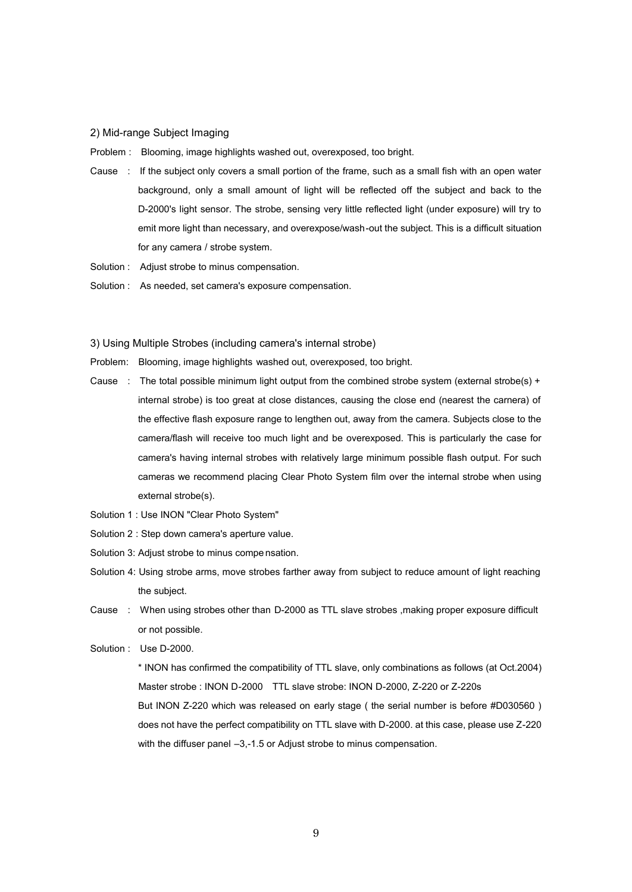## 2) Mid-range Subject Imaging

Problem : Blooming, image highlights washed out, overexposed, too bright.

- Cause : If the subject only covers a small portion of the frame, such as a small fish with an open water background, only a small amount of light will be reflected off the subject and back to the D-2000's light sensor. The strobe, sensing very little reflected light (under exposure) will try to emit more light than necessary, and overexpose/wash-out the subject. This is a difficult situation for any camera / strobe system.
- Solution : Adjust strobe to minus compensation.
- Solution : As needed, set camera's exposure compensation.

#### 3) Using Multiple Strobes (including camera's internal strobe)

- Problem: Blooming, image highlights washed out, overexposed, too bright.
- Cause : The total possible minimum light output from the combined strobe system (external strobe(s) + internal strobe) is too great at close distances, causing the close end (nearest the carnera) of the effective flash exposure range to lengthen out, away from the camera. Subjects close to the camera/flash will receive too much light and be overexposed. This is particularly the case for camera's having internal strobes with relatively large minimum possible flash output. For such cameras we recommend placing Clear Photo System film over the internal strobe when using external strobe(s).
- Solution 1 : Use INON "Clear Photo System"
- Solution 2 : Step down camera's aperture value.
- Solution 3: Adjust strobe to minus compe nsation.
- Solution 4: Using strobe arms, move strobes farther away from subject to reduce amount of light reaching the subject.
- Cause : When using strobes other than D-2000 as TTL slave strobes ,making proper exposure difficult or not possible.
- Solution : Use D-2000.

 \* INON has confirmed the compatibility of TTL slave, only combinations as follows (at Oct.2004) Master strobe : INON D-2000 TTL slave strobe: INON D-2000, Z-220 or Z-220s But INON Z-220 which was released on early stage ( the serial number is before #D030560 ) does not have the perfect compatibility on TTL slave with D-2000. at this case, please use Z-220 with the diffuser panel -3,-1.5 or Adjust strobe to minus compensation.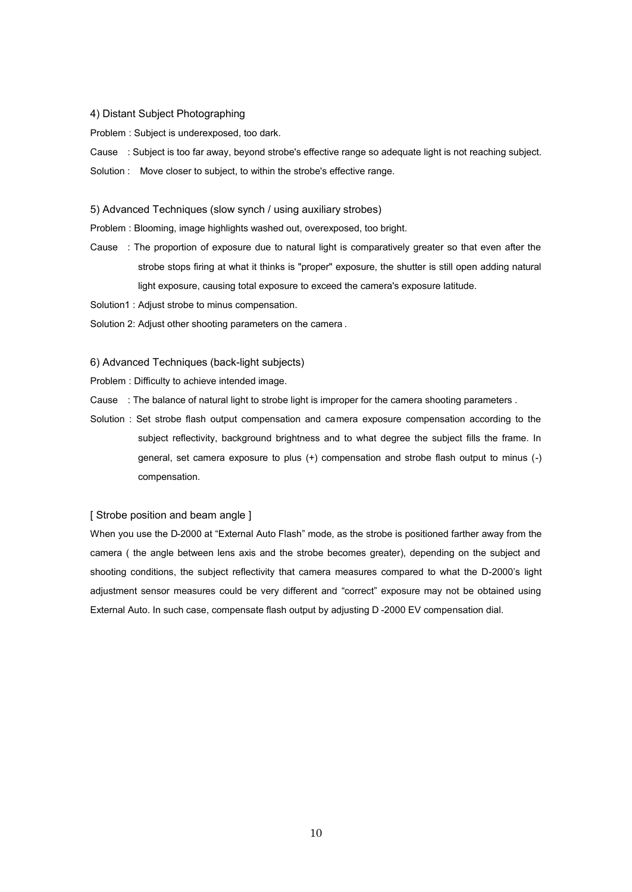#### 4) Distant Subject Photographing

Problem : Subject is underexposed, too dark.

Cause : Subject is too far away, beyond strobe's effective range so adequate light is not reaching subject.

Solution : Move closer to subject, to within the strobe's effective range.

### 5) Advanced Techniques (slow synch / using auxiliary strobes)

Problem : Blooming, image highlights washed out, overexposed, too bright.

- Cause : The proportion of exposure due to natural light is comparatively greater so that even after the strobe stops firing at what it thinks is "proper" exposure, the shutter is still open adding natural light exposure, causing total exposure to exceed the camera's exposure latitude.
- Solution1 : Adjust strobe to minus compensation.
- Solution 2: Adjust other shooting parameters on the camera .

## 6) Advanced Techniques (back-light subjects)

- Problem : Difficulty to achieve intended image.
- Cause : The balance of natural light to strobe light is improper for the camera shooting parameters.
- Solution : Set strobe flash output compensation and camera exposure compensation according to the subject reflectivity, background brightness and to what degree the subject fills the frame. In general, set camera exposure to plus (+) compensation and strobe flash output to minus (-) compensation.

## [ Strobe position and beam angle ]

When you use the D-2000 at "External Auto Flash" mode, as the strobe is positioned farther away from the camera ( the angle between lens axis and the strobe becomes greater), depending on the subject and shooting conditions, the subject reflectivity that camera measures compared to what the D-2000's light adjustment sensor measures could be very different and "correct" exposure may not be obtained using External Auto. In such case, compensate flash output by adjusting D -2000 EV compensation dial.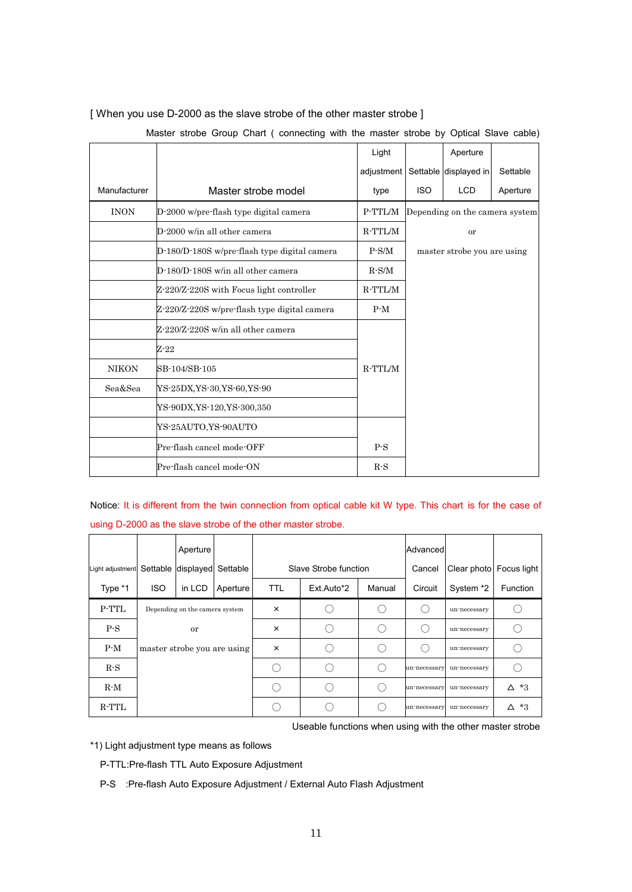|              |                                              | Light      |            | Aperture                       |          |
|--------------|----------------------------------------------|------------|------------|--------------------------------|----------|
|              |                                              | adjustment |            | Settable displayed in          | Settable |
| Manufacturer | Master strobe model                          | type       | <b>ISO</b> | <b>LCD</b>                     | Aperture |
| <b>INON</b>  | D-2000 w/pre-flash type digital camera       | P-TTL/M    |            | Depending on the camera system |          |
|              | $D-2000$ w/in all other camera               | $R-TTL/M$  |            | or                             |          |
|              | D-180/D-180S w/pre-flash type digital camera | $P-S/M$    |            | master strobe you are using    |          |
|              | D-180/D-180S w/in all other camera           | $R-S/M$    |            |                                |          |
|              | Z-220/Z-220S with Focus light controller     | $R-TTL/M$  |            |                                |          |
|              | Z-220/Z-220S w/pre-flash type digital camera | $P-M$      |            |                                |          |
|              | Z-220/Z-220S w/in all other camera           |            |            |                                |          |
|              | $Z - 22$                                     |            |            |                                |          |
| <b>NIKON</b> | SB-104/SB-105                                | $R-TTL/M$  |            |                                |          |
| Sea&Sea      | YS-25DX,YS-30,YS-60,YS-90                    |            |            |                                |          |
|              | YS-90DX, YS-120, YS-300, 350                 |            |            |                                |          |
|              | YS-25AUTO,YS-90AUTO                          |            |            |                                |          |
|              | Pre-flash cancel mode-OFF                    | $P-S$      |            |                                |          |
|              | Pre-flash cancel mode-ON                     | $R-S$      |            |                                |          |

[ When you use D-2000 as the slave strobe of the other master strobe ]

Master strobe Group Chart ( connecting with the master strobe by Optical Slave cable)

Notice: It is different from the twin connection from optical cable kit W type. This chart is for the case of using D-2000 as the slave strobe of the other master strobe.

|                  |                             | Aperture                       |          |            |                       |        | Advanced     |                         |             |
|------------------|-----------------------------|--------------------------------|----------|------------|-----------------------|--------|--------------|-------------------------|-------------|
| Light adjustment |                             | Settable displayed Settable    |          |            | Slave Strobe function |        | Cancel       | Clear photo Focus light |             |
| Type *1          | <b>ISO</b>                  | in LCD                         | Aperture | <b>TTL</b> | Ext.Auto*2            | Manual | Circuit      | System *2               | Function    |
| P-TTL            |                             | Depending on the camera system |          | $\times$   |                       |        |              | un-necessary            |             |
| $P-S$            | or                          |                                | $\times$ |            |                       |        | un-necessary |                         |             |
| $P-M$            | master strobe you are using |                                | $\times$ |            |                       |        | un-necessary |                         |             |
| $R-S$            |                             |                                |          |            |                       |        | un-necessary | un-necessary            |             |
| $R-M$            |                             |                                |          |            |                       |        | un-necessary | un-necessary            | $\Delta$ *3 |
| $R$ -TTL         |                             |                                |          |            |                       |        | un-necessary | un-necessary            | $\Delta$ *3 |

Useable functions when using with the other master strobe

\*1) Light adjustment type means as follows

P-TTL:Pre-flash TTL Auto Exposure Adjustment

P-S :Pre-flash Auto Exposure Adjustment / External Auto Flash Adjustment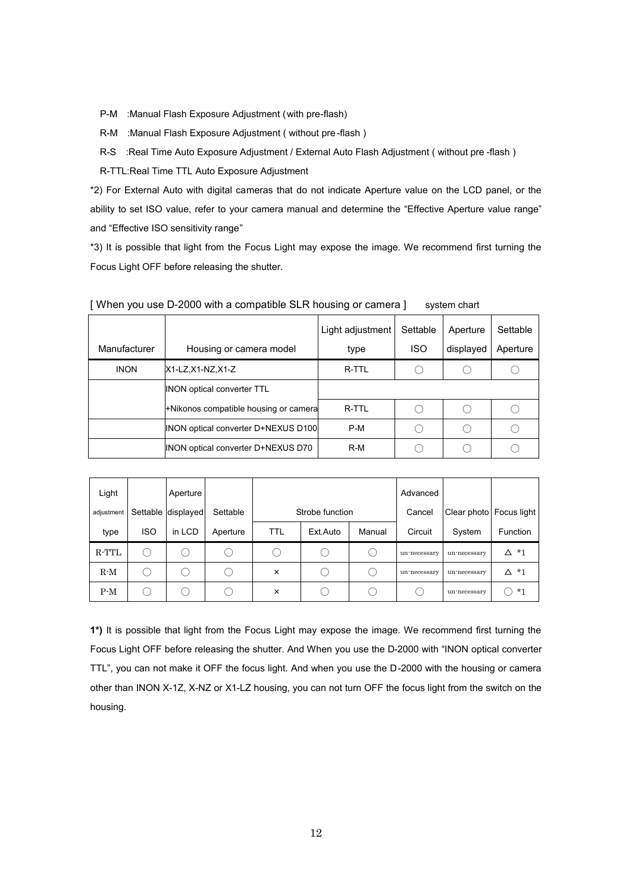- P-M :Manual Flash Exposure Adjustment (with pre-flash)
- R-M :Manual Flash Exposure Adjustment ( without pre -flash )
- R-S :Real Time Auto Exposure Adjustment / External Auto Flash Adjustment ( without pre -flash )

R-TTL:Real Time TTL Auto Exposure Adjustment

\*2) For External Auto with digital cameras that do not indicate Aperture value on the LCD panel, or the ability to set ISO value, refer to your camera manual and determine the "Effective Aperture value range" and "Effective ISO sensitivity range"

\*3) It is possible that light from the Focus Light may expose the image. We recommend first turning the Focus Light OFF before releasing the shutter.

|              |                                        | Light adjustment | Settable   | Aperture  | Settable |
|--------------|----------------------------------------|------------------|------------|-----------|----------|
| Manufacturer | Housing or camera model                | type             | <b>ISO</b> | displayed | Aperture |
| <b>INON</b>  | X1-LZ.X1-NZ.X1-Z                       | R-TTL            |            |           |          |
|              | <b>INON optical converter TTL</b>      |                  |            |           |          |
|              | +Nikonos compatible housing or cameral | R-TTL            |            |           |          |
|              | INON optical converter D+NEXUS D100    | $P-M$            |            |           |          |
|              | INON optical converter D+NEXUS D70     | $R-M$            |            |           |          |

[ When you use D-2000 with a compatible SLR housing or camera ] system chart

| Light<br>adjustment | Settable   | Aperture<br>displayed | Settable |            | Strobe function |        | Advanced<br>Cancel |              | Clear photo Focus light |
|---------------------|------------|-----------------------|----------|------------|-----------------|--------|--------------------|--------------|-------------------------|
| type                | <b>ISO</b> | in LCD                | Aperture | <b>TTL</b> | Ext.Auto        | Manual | Circuit            | System       | Function                |
| R-TTL               |            |                       |          |            |                 |        | un-necessary       | un-necessary | $*1$<br>Δ               |
| $R-M$               |            | ( )                   |          | ×          | . .             |        | un-necessary       | un-necessary | ∆ *1                    |
| $P-M$               |            | ( )                   |          | ×          |                 |        |                    | un-necessary | $*1$                    |

**1\*)** It is possible that light from the Focus Light may expose the image. We recommend first turning the Focus Light OFF before releasing the shutter. And When you use the D-2000 with "INON optical converter TTL", you can not make it OFF the focus light. And when you use the D-2000 with the housing or camera other than INON X-1Z, X-NZ or X1-LZ housing, you can not turn OFF the focus light from the switch on the housing.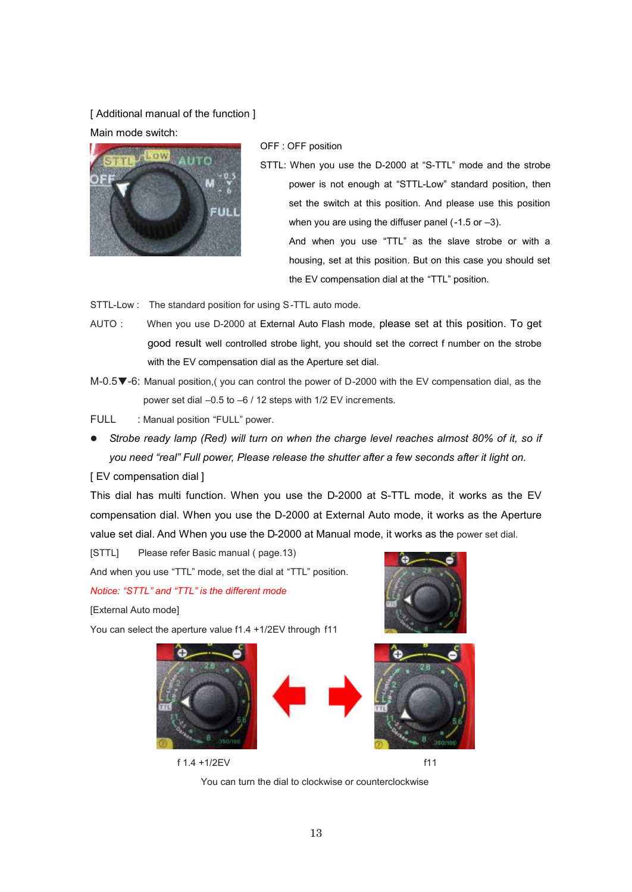[ Additional manual of the function ] Main mode switch:



OFF : OFF position

STTL: When you use the D-2000 at "S-TTL" mode and the strobe power is not enough at "STTL-Low" standard position, then set the switch at this position. And please use this position when you are using the diffuser panel (-1.5 or –3). And when you use "TTL" as the slave strobe or with a housing, set at this position. But on this case you should set

the EV compensation dial at the "TTL" position.

- STTL-Low : The standard position for using S-TTL auto mode.
- AUTO : When you use D-2000 at External Auto Flash mode, please set at this position. To get good result well controlled strobe light, you should set the correct f number on the strobe with the EV compensation dial as the Aperture set dial.
- M-0.5▼ -6: Manual position,( you can control the power of D-2000 with the EV compensation dial, as the power set dial –0.5 to –6 / 12 steps with 1/2 EV increments.

FULL : Manual position "FULL" power.

l *Strobe ready lamp (Red) will turn on when the charge level reaches almost 80% of it, so if you need "real" Full power, Please release the shutter after a few seconds after it light on.*

[ EV compensation dial ]

This dial has multi function. When you use the D-2000 at S-TTL mode, it works as the EV compensation dial. When you use the D-2000 at External Auto mode, it works as the Aperture value set dial. And When you use the D-2000 at Manual mode, it works as the power set dial.

[STTL] Please refer Basic manual ( page.13) And when you use "TTL" mode, set the dial at "TTL" position.

*Notice: "STTL" and "TTL" is the different mode*

[External Auto mode]

You can select the aperture value f1.4 +1/2EV through f11



f 1.4 +1/2EV f11

You can turn the dial to clockwise or counterclockwise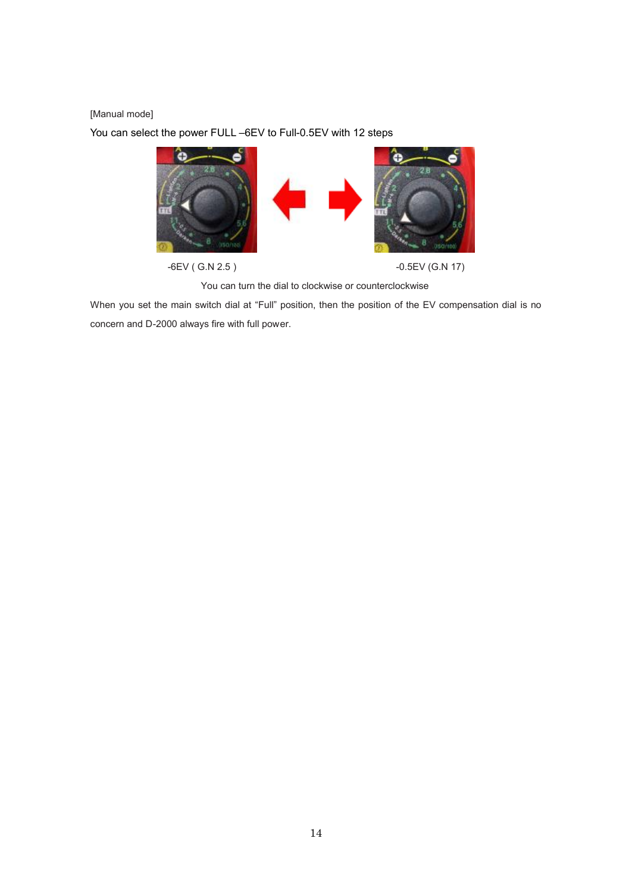## [Manual mode]

You can select the power FULL –6EV to Full-0.5EV with 12 steps



You can turn the dial to clockwise or counterclockwise

When you set the main switch dial at "Full" position, then the position of the EV compensation dial is no concern and D-2000 always fire with full power.